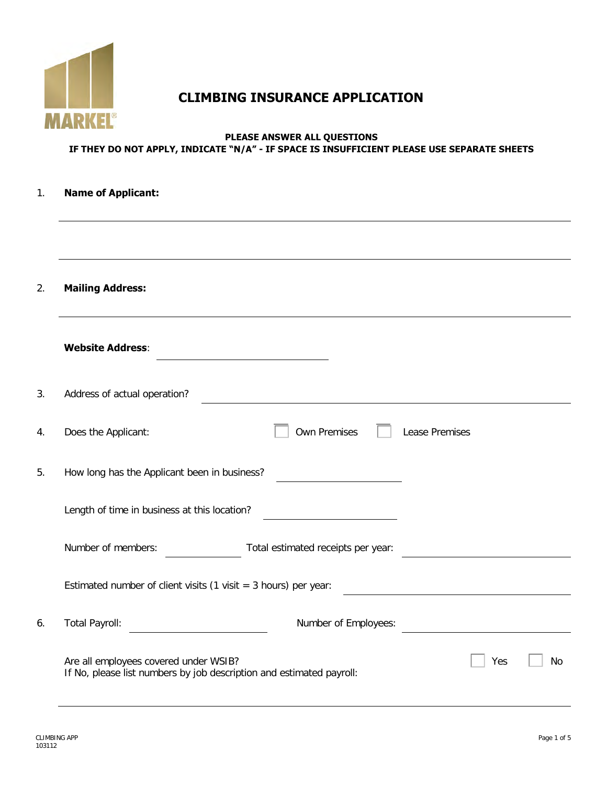

# **CLIMBING INSURANCE APPLICATION**

#### **PLEASE ANSWER ALL QUESTIONS IF THEY DO NOT APPLY, INDICATE "N/A" - IF SPACE IS INSUFFICIENT PLEASE USE SEPARATE SHEETS**

# 1. **Name of Applicant:** 2. **Mailing Address: Website Address**: 3. Address of actual operation? 4. Does the Applicant:  $\Box$  Own Premises  $\Box$  Lease Premises 5. How long has the Applicant been in business? Length of time in business at this location? Number of members: Total estimated receipts per year: Estimated number of client visits (1 visit =  $3$  hours) per year: 6. Total Payroll: Number of Employees: Are all employees covered under WSIB? If No, please list numbers by job description and estimated payroll:  $Yes \t | No$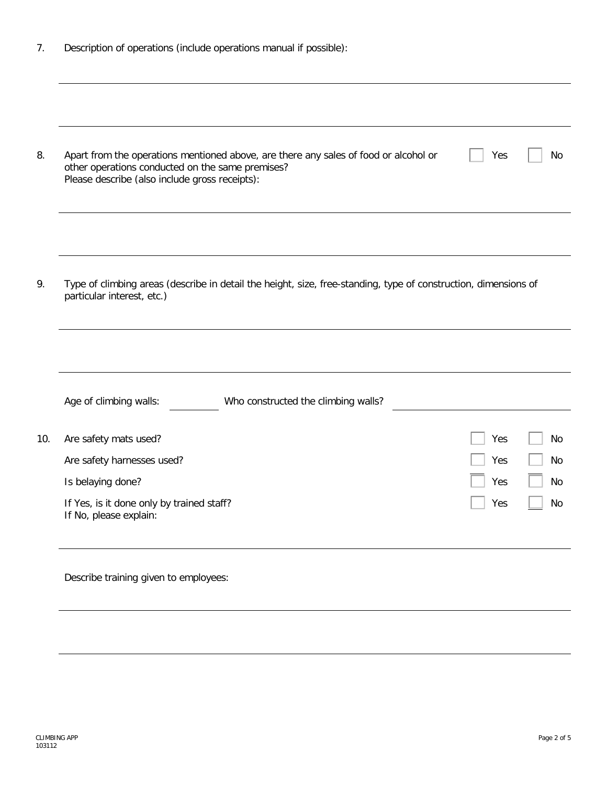|  | Description of operations (include operations manual if possible): |  |  |  |
|--|--------------------------------------------------------------------|--|--|--|
|  |                                                                    |  |  |  |

| 8.  | Apart from the operations mentioned above, are there any sales of food or alcohol or<br>other operations conducted on the same premises?<br>Please describe (also include gross receipts): | No<br>Yes |
|-----|--------------------------------------------------------------------------------------------------------------------------------------------------------------------------------------------|-----------|
|     |                                                                                                                                                                                            |           |
| 9.  | Type of climbing areas (describe in detail the height, size, free-standing, type of construction, dimensions of<br>particular interest, etc.)                                              |           |
|     |                                                                                                                                                                                            |           |
|     | Age of climbing walls:<br>Who constructed the climbing walls?                                                                                                                              |           |
| 10. | Are safety mats used?                                                                                                                                                                      | Yes<br>No |
|     | Are safety harnesses used?                                                                                                                                                                 | Yes<br>No |
|     |                                                                                                                                                                                            |           |
|     | Is belaying done?                                                                                                                                                                          | Yes<br>No |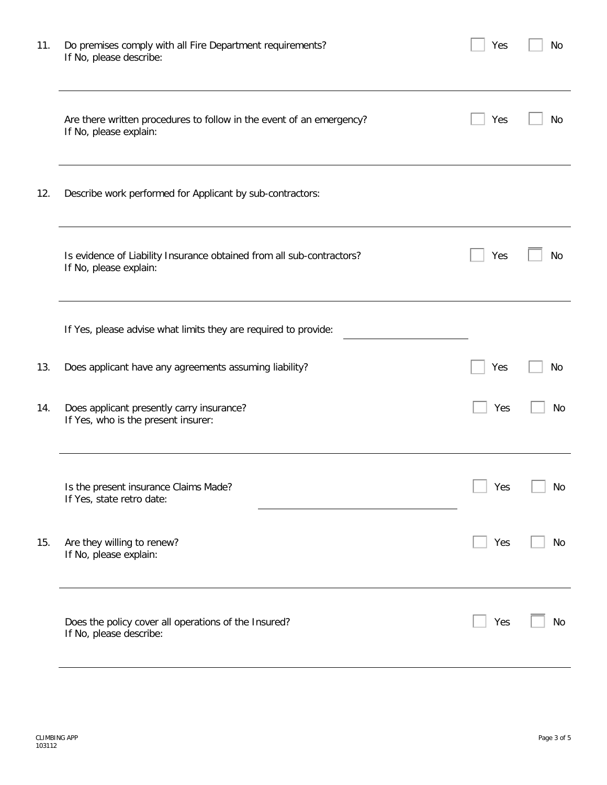| 11. | Do premises comply with all Fire Department requirements?<br>If No, please describe:            | Yes | No |
|-----|-------------------------------------------------------------------------------------------------|-----|----|
|     | Are there written procedures to follow in the event of an emergency?<br>If No, please explain:  | Yes | No |
| 12. | Describe work performed for Applicant by sub-contractors:                                       |     |    |
|     | Is evidence of Liability Insurance obtained from all sub-contractors?<br>If No, please explain: | Yes | No |
|     | If Yes, please advise what limits they are required to provide:                                 |     |    |
| 13. | Does applicant have any agreements assuming liability?                                          | Yes | No |
| 14. | Does applicant presently carry insurance?<br>If Yes, who is the present insurer:                | Yes | No |
|     | Is the present insurance Claims Made?<br>If Yes, state retro date:                              | Yes | No |
| 15. | Are they willing to renew?<br>If No, please explain:                                            | Yes | No |
|     | Does the policy cover all operations of the Insured?<br>If No, please describe:                 | Yes | No |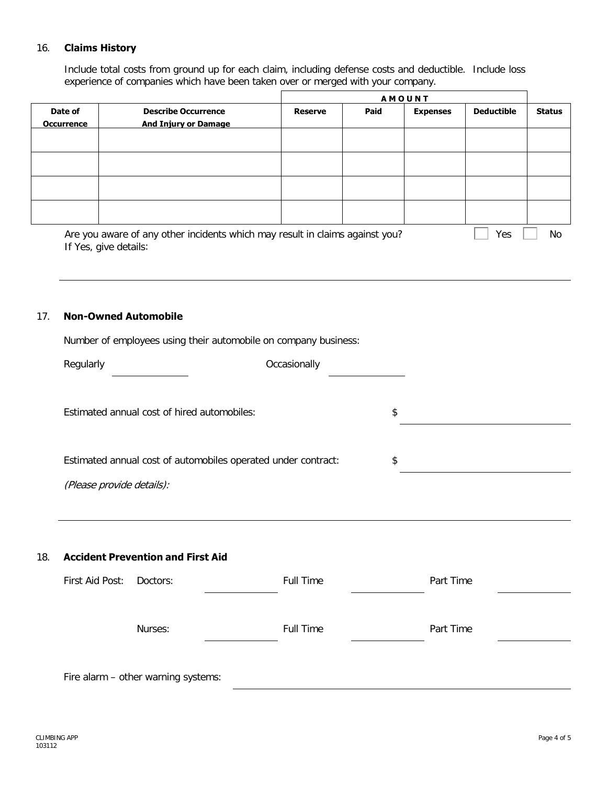#### 16. **Claims History**

Include total costs from ground up for each claim, including defense costs and deductible. Include loss experience of companies which have been taken over or merged with your company.

|                              |                                                                                                       | <b>AMOUNT</b>  |      |                 |                   |               |
|------------------------------|-------------------------------------------------------------------------------------------------------|----------------|------|-----------------|-------------------|---------------|
| Date of<br><b>Occurrence</b> | <b>Describe Occurrence</b><br><b>And Injury or Damage</b>                                             | <b>Reserve</b> | Paid | <b>Expenses</b> | <b>Deductible</b> | <b>Status</b> |
|                              |                                                                                                       |                |      |                 |                   |               |
|                              |                                                                                                       |                |      |                 |                   |               |
|                              |                                                                                                       |                |      |                 |                   |               |
|                              |                                                                                                       |                |      |                 |                   |               |
|                              | Are you aware of any other incidents which may result in claims against you?<br>If Yes, give details: |                |      |                 | Yes               | No            |

#### 17. **Non-Owned Automobile**

Number of employees using their automobile on company business:

|                                                               |                                          | Occasionally     |           |
|---------------------------------------------------------------|------------------------------------------|------------------|-----------|
| Estimated annual cost of hired automobiles:                   |                                          | \$               |           |
| Estimated annual cost of automobiles operated under contract: |                                          |                  | \$        |
| (Please provide details):                                     |                                          |                  |           |
|                                                               |                                          |                  |           |
|                                                               |                                          |                  |           |
|                                                               | <b>Accident Prevention and First Aid</b> |                  |           |
|                                                               | Doctors:                                 | <b>Full Time</b> | Part Time |
| First Aid Post:                                               | Nurses:                                  | Full Time        | Part Time |